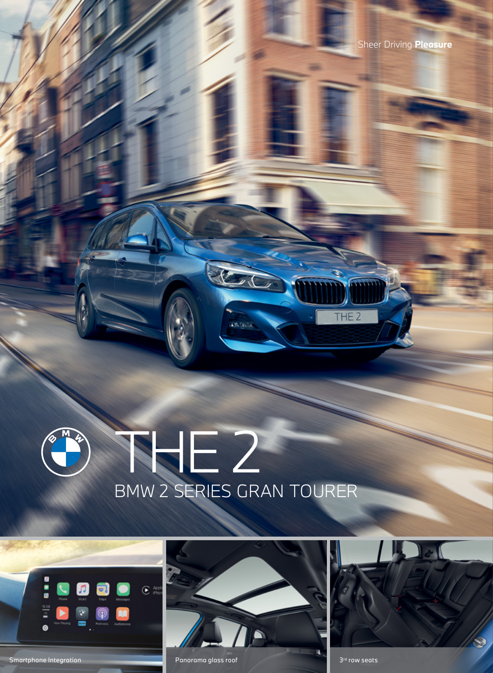## THE 2 BMW 2 SERIES GRAN TOURER



Smartphone Integration **Contract Contract Contract Contract Contract Contract Contract Contract Contract Contract Contract Contract Contract Contract Contract Contract Contract Contract Contract Contract Contract Contract** 



**ASSESS** 



THE<sub>2</sub>